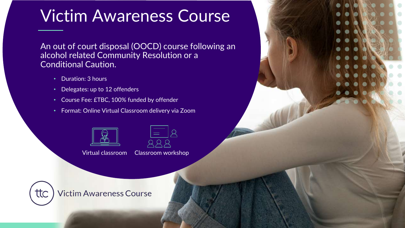# Victim Awareness Course

An out of court disposal (OOCD) course following an alcohol related Community Resolution or a Conditional Caution.

- Duration: 3 hours
- Delegates: up to 12 offenders
- Course Fee: £TBC, 100% funded by offender
- Format: Online Virtual Classroom delivery via Zoom



Virtual classroom Classroom workshop



**Victim Awareness Course**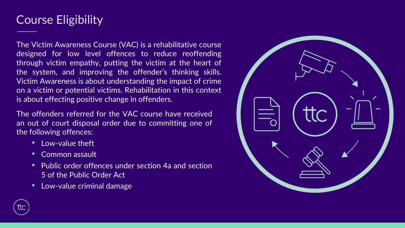## Course Eligibility

The Victim Awareness Course (VAC) is a rehabilitative course designed for low level offences to reduce reoffending through victim empathy, putting the victim at the heart of the system, and improving the offender's thinking skills. Victim Awareness is about understanding the impact of crime on a victim or potential victims. Rehabilitation in this context is about effecting positive change in offenders.

The offenders referred for the VAC course have received an out of court disposal order due to committing one of the following offences:

- Low-value theft
- Common assault
- Public order offences under section 4a and section 5 of the Public Order Act
- Low-value criminal damage



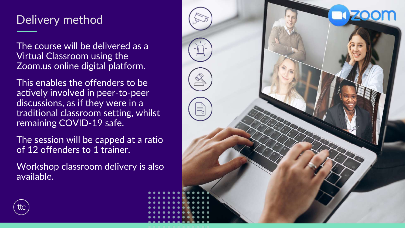## Delivery method

The course will be delivered as a Virtual Classroom using the Zoom.us online digital platform.

This enables the offenders to be actively involved in peer-to-peer discussions, as if they were in a traditional classroom setting, whilst remaining COVID-19 safe.

The session will be capped at a ratio of 12 offenders to 1 trainer.

Workshop classroom delivery is also available.



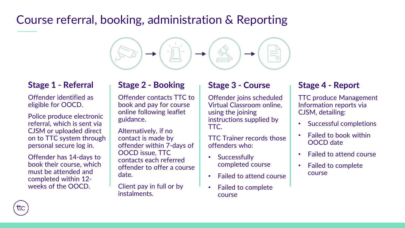## Course referral, booking, administration & Reporting



### **Stage 1 - Referral**

Offender identified as eligible for OOCD.

Police produce electronic referral, which is sent via CJSM or uploaded direct on to TTC system through personal secure log in.

Offender has 14-days to book their course, which must be attended and completed within 12 weeks of the OOCD.

### **Stage 2 - Booking**

Offender contacts TTC to book and pay for course online following leaflet guidance.

Alternatively, if no contact is made by offender within 7-days of OOCD issue, TTC contacts each referred offender to offer a course date.

Client pay in full or by instalments.

### **Stage 3 - Course**

Offender joins scheduled Virtual Classroom online, using the joining instructions supplied by TTC.

TTC Trainer records those offenders who:

- Successfully completed course
- Failed to attend course
- Failed to complete course

### **Stage 4 - Report**

TTC produce Management Information reports via CJSM, detailing:

- Successful completions
- Failed to book within OOCD date
- Failed to attend course
- Failed to complete course

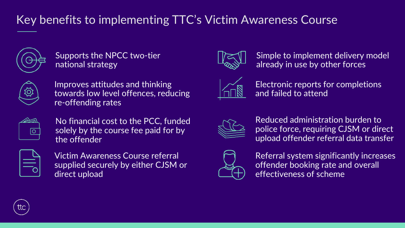## Key benefits to implementing TTC's Victim Awareness Course



Supports the NPCC two-tier national strategy



Improves attitudes and thinking towards low level offences, reducing re-offending rates



No financial cost to the PCC, funded solely by the course fee paid for by the offender



Victim Awareness Course referral supplied securely by either CJSM or direct upload



Simple to implement delivery model already in use by other forces



Electronic reports for completions and failed to attend



Reduced administration burden to police force, requiring CJSM or direct upload offender referral data transfer



Referral system significantly increases offender booking rate and overall effectiveness of scheme

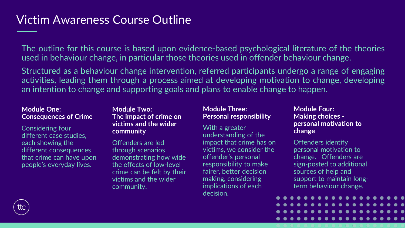### Victim Awareness Course Outline

The outline for this course is based upon evidence-based psychological literature of the theories used in behaviour change, in particular those theories used in offender behaviour change.

Structured as a behaviour change intervention, referred participants undergo a range of engaging activities, leading them through a process aimed at developing motivation to change, developing an intention to change and supporting goals and plans to enable change to happen.

#### **Module One: Consequences of Crime**

Considering four different case studies, each showing the different consequences that crime can have upon people's everyday lives.

#### **Module Two: The impact of crime on victims and the wider community**

Offenders are led through scenarios demonstrating how wide the effects of low-level crime can be felt by their victims and the wider community.

#### **Module Three: Personal responsibility**

#### With a greater understanding of the impact that crime has on victims, we consider the offender's personal responsibility to make fairer, better decision making, considering implications of each decision.

#### **Module Four: Making choices personal motivation to change**

Offenders identify personal motivation to change. Offenders are sign-posted to additional sources of help and support to maintain longterm behaviour change.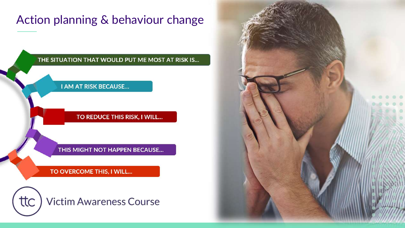## Action planning & behaviour change

#### THE SITUATION THAT WOULD PUT ME MOST AT RISK IS...

#### **I AM AT RISK BECAUSE...**

#### TO REDUCE THIS RISK, I WILL...

THIS MIGHT NOT HAPPEN BECAUSE...

TO OVERCOME THIS, I WILL...



**Victim Awareness Course**